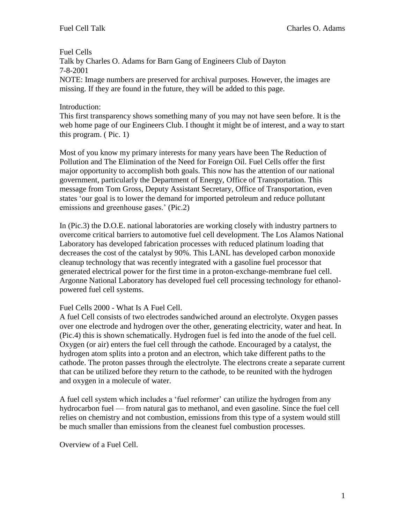Fuel Cells

Talk by Charles O. Adams for Barn Gang of Engineers Club of Dayton 7-8-2001

NOTE: Image numbers are preserved for archival purposes. However, the images are missing. If they are found in the future, they will be added to this page.

## Introduction:

This first transparency shows something many of you may not have seen before. It is the web home page of our Engineers Club. I thought it might be of interest, and a way to start this program. ( Pic. 1)

Most of you know my primary interests for many years have been The Reduction of Pollution and The Elimination of the Need for Foreign Oil. Fuel Cells offer the first major opportunity to accomplish both goals. This now has the attention of our national government, particularly the Department of Energy, Office of Transportation. This message from Tom Gross, Deputy Assistant Secretary, Office of Transportation, even states 'our goal is to lower the demand for imported petroleum and reduce pollutant emissions and greenhouse gases.' (Pic.2)

In (Pic.3) the D.O.E. national laboratories are working closely with industry partners to overcome critical barriers to automotive fuel cell development. The Los Alamos National Laboratory has developed fabrication processes with reduced platinum loading that decreases the cost of the catalyst by 90%. This LANL has developed carbon monoxide cleanup technology that was recently integrated with a gasoline fuel processor that generated electrical power for the first time in a proton-exchange-membrane fuel cell. Argonne National Laboratory has developed fuel cell processing technology for ethanolpowered fuel cell systems.

## Fuel Cells 2000 - What Is A Fuel Cell.

A fuel Cell consists of two electrodes sandwiched around an electrolyte. Oxygen passes over one electrode and hydrogen over the other, generating electricity, water and heat. In (Pic.4) this is shown schematically. Hydrogen fuel is fed into the anode of the fuel cell. Oxygen (or air) enters the fuel cell through the cathode. Encouraged by a catalyst, the hydrogen atom splits into a proton and an electron, which take different paths to the cathode. The proton passes through the electrolyte. The electrons create a separate current that can be utilized before they return to the cathode, to be reunited with the hydrogen and oxygen in a molecule of water.

A fuel cell system which includes a 'fuel reformer' can utilize the hydrogen from any hydrocarbon fuel — from natural gas to methanol, and even gasoline. Since the fuel cell relies on chemistry and not combustion, emissions from this type of a system would still be much smaller than emissions from the cleanest fuel combustion processes.

Overview of a Fuel Cell.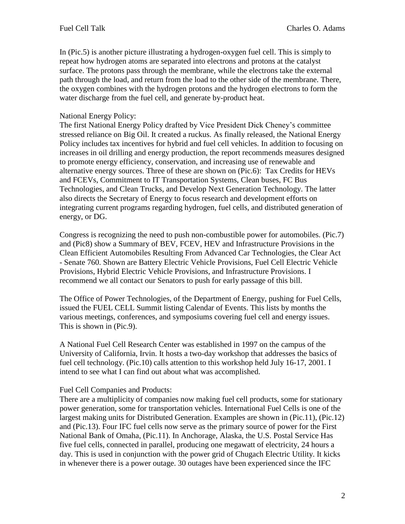In (Pic.5) is another picture illustrating a hydrogen-oxygen fuel cell. This is simply to repeat how hydrogen atoms are separated into electrons and protons at the catalyst surface. The protons pass through the membrane, while the electrons take the external path through the load, and return from the load to the other side of the membrane. There, the oxygen combines with the hydrogen protons and the hydrogen electrons to form the water discharge from the fuel cell, and generate by-product heat.

## National Energy Policy:

The first National Energy Policy drafted by Vice President Dick Cheney's committee stressed reliance on Big Oil. It created a ruckus. As finally released, the National Energy Policy includes tax incentives for hybrid and fuel cell vehicles. In addition to focusing on increases in oil drilling and energy production, the report recommends measures designed to promote energy efficiency, conservation, and increasing use of renewable and alternative energy sources. Three of these are shown on (Pic.6): Tax Credits for HEVs and FCEVs, Commitment to IT Transportation Systems, Clean buses, FC Bus Technologies, and Clean Trucks, and Develop Next Generation Technology. The latter also directs the Secretary of Energy to focus research and development efforts on integrating current programs regarding hydrogen, fuel cells, and distributed generation of energy, or DG.

Congress is recognizing the need to push non-combustible power for automobiles. (Pic.7) and (Pic8) show a Summary of BEV, FCEV, HEV and Infrastructure Provisions in the Clean Efficient Automobiles Resulting From Advanced Car Technologies, the Clear Act - Senate 760. Shown are Battery Electric Vehicle Provisions, Fuel Cell Electric Vehicle Provisions, Hybrid Electric Vehicle Provisions, and Infrastructure Provisions. I recommend we all contact our Senators to push for early passage of this bill.

The Office of Power Technologies, of the Department of Energy, pushing for Fuel Cells, issued the FUEL CELL Summit listing Calendar of Events. This lists by months the various meetings, conferences, and symposiums covering fuel cell and energy issues. This is shown in (Pic.9).

A National Fuel Cell Research Center was established in 1997 on the campus of the University of California, Irvin. It hosts a two-day workshop that addresses the basics of fuel cell technology. (Pic.10) calls attention to this workshop held July 16-17, 2001. I intend to see what I can find out about what was accomplished.

## Fuel Cell Companies and Products:

There are a multiplicity of companies now making fuel cell products, some for stationary power generation, some for transportation vehicles. International Fuel Cells is one of the largest making units for Distributed Generation. Examples are shown in (Pic.11), (Pic.12) and (Pic.13). Four IFC fuel cells now serve as the primary source of power for the First National Bank of Omaha, (Pic.11). In Anchorage, Alaska, the U.S. Postal Service Has five fuel cells, connected in parallel, producing one megawatt of electricity, 24 hours a day. This is used in conjunction with the power grid of Chugach Electric Utility. It kicks in whenever there is a power outage. 30 outages have been experienced since the IFC